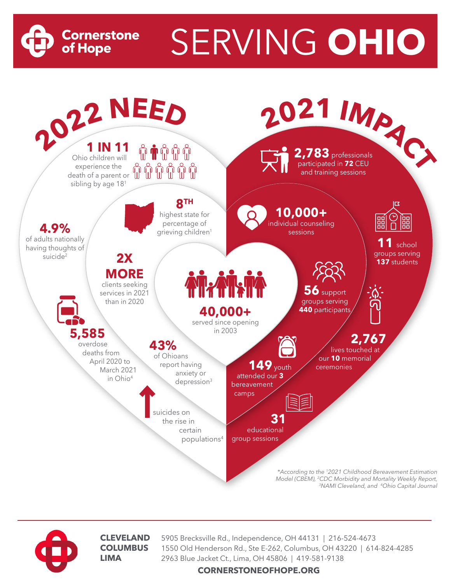

SERVING **OHIO**





**CLEVELAND** 5905 Brecksville Rd., Independence, OH 44131 | 216-524-4673<br>**COLUMBUS** 1550 Old Henderson Rd., Ste F-262, Columbus, OH 43220 | 614 **COLUMBUS** 1550 Old Henderson Rd., Ste E-262, Columbus, OH 43220 | 614-824-4285 **LIMA** 2963 Blue Jacket Ct., Lima, OH 45806 | 419-581-9138

**CORNERSTONEOFHOPE.ORG**